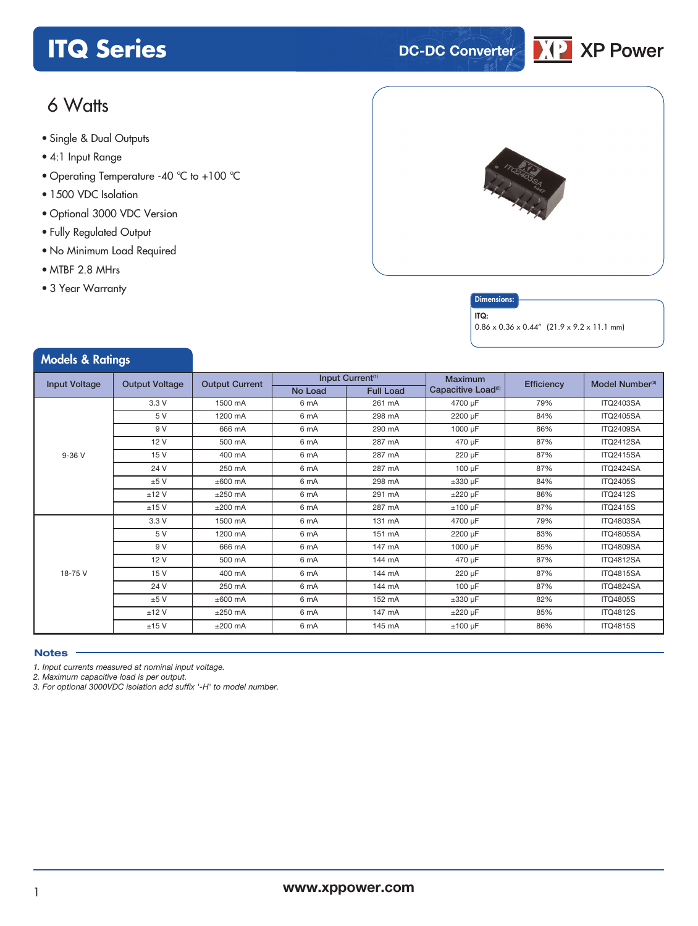# **ITQ** Series **DC-DC** Converter



# 6 Watts

- **xxx Series** Single & Dual Outputs
- 4:1 Input Range
- Operating Temperature -40 °C to +100 °C
- 1500 VDC Isolation
- Optional 3000 VDC Version
- Fully Regulated Output
- No Minimum Load Required
- MTBF 2.8 MHrs
- 3 Year Warranty

Models & Ratings



### **Dimensions**

#### ITQ:

0.86 x 0.36 x 0.44" (21.9 x 9.2 x 11.1 mm)

| <b><i>INCUBIS</i></b> & KUILILYS |                       |                       |         |                              |                                |            |                             |
|----------------------------------|-----------------------|-----------------------|---------|------------------------------|--------------------------------|------------|-----------------------------|
|                                  | <b>Output Voltage</b> | <b>Output Current</b> |         | Input Current <sup>(1)</sup> | <b>Maximum</b>                 | Efficiency | Model Number <sup>(3)</sup> |
| <b>Input Voltage</b>             |                       |                       | No Load | <b>Full Load</b>             | Capacitive Load <sup>(2)</sup> |            |                             |
|                                  | 3.3 V                 | 1500 mA               | 6 mA    | 261 mA                       | 4700 µF                        | 79%        | <b>ITQ2403SA</b>            |
|                                  | 5 V                   | 1200 mA               | 6 mA    | 298 mA                       | 2200 µF                        | 84%        | <b>ITQ2405SA</b>            |
|                                  | 9 V                   | 666 mA                | 6 mA    | 290 mA                       | 1000 µF                        | 86%        | <b>ITQ2409SA</b>            |
|                                  | 12V                   | 500 mA                | 6 mA    | 287 mA                       | 470 µF                         | 87%        | <b>ITQ2412SA</b>            |
| $9-36V$                          | 15 V                  | 400 mA                | 6 mA    | 287 mA                       | 220 µF                         | 87%        | <b>ITQ2415SA</b>            |
|                                  | 24 V                  | 250 mA                | 6 mA    | 287 mA                       | $100 \mu F$                    | 87%        | <b>ITQ2424SA</b>            |
|                                  | ±5V                   | $±600$ mA             | 6 mA    | 298 mA                       | $\pm 330$ µF                   | 84%        | <b>ITQ2405S</b>             |
|                                  | ±12V                  | $±250$ mA             | 6 mA    | 291 mA                       | $±220 \mu F$                   | 86%        | <b>ITQ2412S</b>             |
|                                  | ±15V                  | $±200$ mA             | 6 mA    | 287 mA                       | $±100~\mu F$                   | 87%        | <b>ITQ2415S</b>             |
|                                  | 3.3V                  | 1500 mA               | 6 mA    | 131 mA                       | 4700 µF                        | 79%        | <b>ITQ4803SA</b>            |
|                                  | 5 V                   | 1200 mA               | 6 mA    | 151 mA                       | 2200 µF                        | 83%        | <b>ITQ4805SA</b>            |
|                                  | 9 V                   | 666 mA                | 6 mA    | 147 mA                       | 1000 µF                        | 85%        | <b>ITQ4809SA</b>            |
|                                  | 12V                   | 500 mA                | 6 mA    | 144 mA                       | 470 µF                         | 87%        | <b>ITQ4812SA</b>            |
| 18-75 V                          | 15 V                  | 400 mA                | 6 mA    | 144 mA                       | 220 µF                         | 87%        | <b>ITQ4815SA</b>            |
|                                  | 24 V                  | 250 mA                | 6 mA    | 144 mA                       | $100 \mu F$                    | 87%        | <b>ITQ4824SA</b>            |
|                                  | ±5V                   | $±600$ mA             | 6 mA    | 152 mA                       | $\pm 330$ µF                   | 82%        | <b>ITQ4805S</b>             |
|                                  | ±12V                  | $±250$ mA             | 6 mA    | 147 mA                       | $±220 \mu F$                   | 85%        | <b>ITQ4812S</b>             |
|                                  | $±15$ V               | $±200$ mA             | 6 mA    | 145 mA                       | $±100 \mu F$                   | 86%        | <b>ITQ4815S</b>             |

#### **Notes**

*1. Input currents measured at nominal input voltage.*

*2. Maximum capacitive load is per output.*

*3. For optional 3000VDC isolation add suffix '-H' to model number.*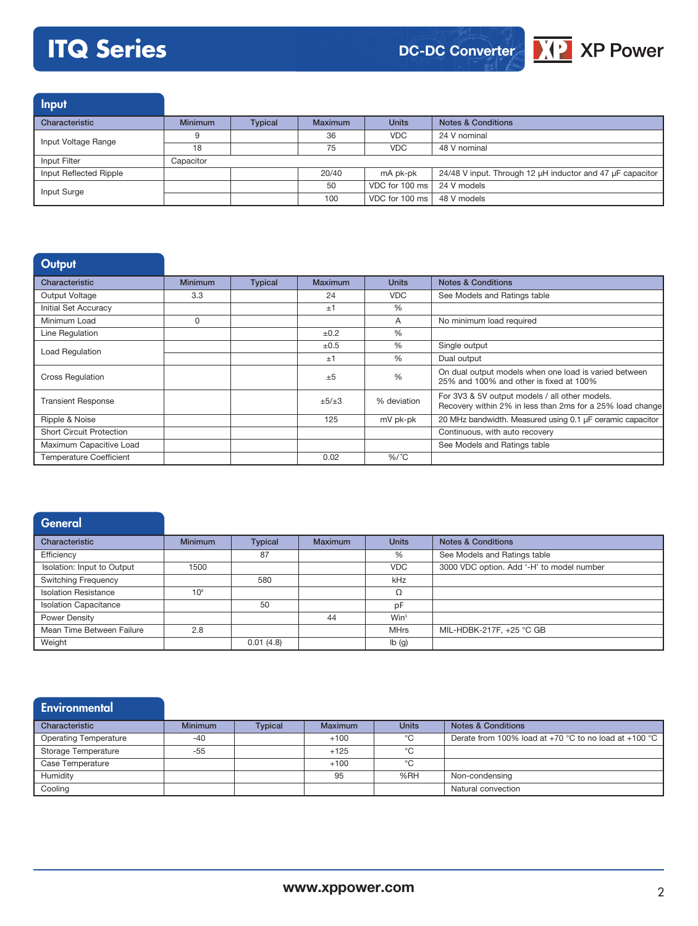# **ITQ Series**





Input

| Characteristic         | <b>Minimum</b> | <b>Typical</b> | <b>Maximum</b> | <b>Units</b>                 | <b>Notes &amp; Conditions</b>                             |
|------------------------|----------------|----------------|----------------|------------------------------|-----------------------------------------------------------|
| Input Voltage Range    |                |                | 36             | <b>VDC</b>                   | 24 V nominal                                              |
|                        | 18             |                | 75             | VDC.                         | 48 V nominal                                              |
| Input Filter           | Capacitor      |                |                |                              |                                                           |
| Input Reflected Ripple |                |                | 20/40          | mA pk-pk                     | 24/48 V input. Through 12 µH inductor and 47 µF capacitor |
| Input Surge            |                |                | 50             | VDC for 100 ms               | 24 V models                                               |
|                        |                |                | 100            | VDC for 100 ms   48 V models |                                                           |

# **Output**

| Characteristic                  | <b>Minimum</b> | <b>Typical</b> | <b>Maximum</b> | <b>Units</b>  | <b>Notes &amp; Conditions</b>                                                                               |
|---------------------------------|----------------|----------------|----------------|---------------|-------------------------------------------------------------------------------------------------------------|
| Output Voltage                  | 3.3            |                | 24             | <b>VDC</b>    | See Models and Ratings table                                                                                |
| <b>Initial Set Accuracy</b>     |                |                | ±1             | $\%$          |                                                                                                             |
| Minimum Load                    | 0              |                |                | A             | No minimum load required                                                                                    |
| Line Regulation                 |                |                | ±0.2           | %             |                                                                                                             |
| <b>Load Regulation</b>          |                |                | ±0.5           | $\%$          | Single output                                                                                               |
|                                 |                |                | ±1             | $\%$          | Dual output                                                                                                 |
| <b>Cross Regulation</b>         |                |                | ±5             | $\frac{0}{0}$ | On dual output models when one load is varied between<br>25% and 100% and other is fixed at 100%            |
| <b>Transient Response</b>       |                |                | $\pm 5/\pm 3$  | % deviation   | For 3V3 & 5V output models / all other models.<br>Recovery within 2% in less than 2ms for a 25% load change |
| Ripple & Noise                  |                |                | 125            | mV pk-pk      | 20 MHz bandwidth. Measured using 0.1 µF ceramic capacitor                                                   |
| <b>Short Circuit Protection</b> |                |                |                |               | Continuous, with auto recovery                                                                              |
| Maximum Capacitive Load         |                |                |                |               | See Models and Ratings table                                                                                |
| <b>Temperature Coefficient</b>  |                |                | 0.02           | $%$ /°C       |                                                                                                             |

| <b>General</b>               |                 |                |                |              |                                           |
|------------------------------|-----------------|----------------|----------------|--------------|-------------------------------------------|
| Characteristic               | <b>Minimum</b>  | <b>Typical</b> | <b>Maximum</b> | <b>Units</b> | <b>Notes &amp; Conditions</b>             |
| Efficiency                   |                 | 87             |                | %            | See Models and Ratings table              |
| Isolation: Input to Output   | 1500            |                |                | <b>VDC</b>   | 3000 VDC option. Add '-H' to model number |
| <b>Switching Frequency</b>   |                 | 580            |                | kHz          |                                           |
| <b>Isolation Resistance</b>  | 10 <sup>9</sup> |                |                | Ω            |                                           |
| <b>Isolation Capacitance</b> |                 | 50             |                | pF           |                                           |
| Power Density                |                 |                | 44             | $Win^3$      |                                           |
| Mean Time Between Failure    | 2.8             |                |                | <b>MHrs</b>  | MIL-HDBK-217F, +25 °C GB                  |
| Weight                       |                 | 0.01(4.8)      |                | Ib(g)        |                                           |

| <b>Environmental</b>         |                |                |                |              |                                                                   |
|------------------------------|----------------|----------------|----------------|--------------|-------------------------------------------------------------------|
| Characteristic               | <b>Minimum</b> | <b>Typical</b> | <b>Maximum</b> | <b>Units</b> | <b>Notes &amp; Conditions</b>                                     |
| <b>Operating Temperature</b> | $-40$          |                | $+100$         | °C           | Derate from 100% load at +70 °C to no load at +100 °C $\parallel$ |
| <b>Storage Temperature</b>   | $-55$          |                | $+125$         | °C           |                                                                   |
| Case Temperature             |                |                | $+100$         | °C           |                                                                   |
| Humidity                     |                |                | 95             | %RH          | Non-condensing                                                    |
| Cooling                      |                |                |                |              | Natural convection                                                |